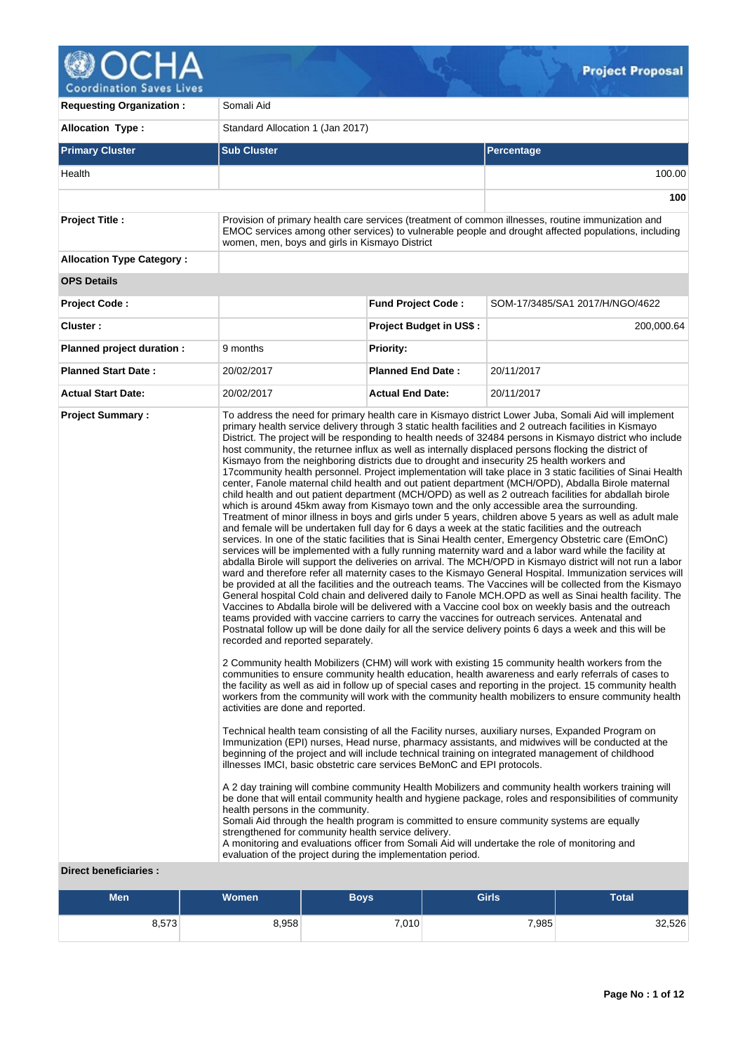

**Requesting Organization : Somali Aid Allocation Type :** Standard Allocation 1 (Jan 2017) **Primary Cluster Sub Cluster Sub Cluster** Sub Cluster Sub Cluster Sub Cluster Sub Cluster Sub Cluster Sub Cluster Health 100.00 **100 Project Title :** Provision of primary health care services (treatment of common illnesses, routine immunization and EMOC services among other services) to vulnerable people and drought affected populations, including women, men, boys and girls in Kismayo District **Allocation Type Category : OPS Details Project Code : Fund Project Code :** SOM-17/3485/SA1 2017/H/NGO/4622 **Cluster : Project Budget in US\$ :** 200,000.64 **Planned project duration :** 9 months **Planned Priority: Planned Start Date :** 20/02/2017 **Planned End Date :** 20/11/2017 **Actual Start Date:** 20/02/2017 **Actual End Date:** 20/11/2017 **Project Summary :** To address the need for primary health care in Kismayo district Lower Juba, Somali Aid will implement primary health service delivery through 3 static health facilities and 2 outreach facilities in Kismayo District. The project will be responding to health needs of 32484 persons in Kismayo district who include host community, the returnee influx as well as internally displaced persons flocking the district of Kismayo from the neighboring districts due to drought and insecurity 25 health workers and 17community health personnel. Project implementation will take place in 3 static facilities of Sinai Health center, Fanole maternal child health and out patient department (MCH/OPD), Abdalla Birole maternal child health and out patient department (MCH/OPD) as well as 2 outreach facilities for abdallah birole which is around 45km away from Kismayo town and the only accessible area the surrounding. Treatment of minor illness in boys and girls under 5 years, children above 5 years as well as adult male and female will be undertaken full day for 6 days a week at the static facilities and the outreach services. In one of the static facilities that is Sinai Health center, Emergency Obstetric care (EmOnC) services will be implemented with a fully running maternity ward and a labor ward while the facility at abdalla Birole will support the deliveries on arrival. The MCH/OPD in Kismayo district will not run a labor ward and therefore refer all maternity cases to the Kismayo General Hospital. Immunization services will be provided at all the facilities and the outreach teams. The Vaccines will be collected from the Kismayo General hospital Cold chain and delivered daily to Fanole MCH.OPD as well as Sinai health facility. The Vaccines to Abdalla birole will be delivered with a Vaccine cool box on weekly basis and the outreach teams provided with vaccine carriers to carry the vaccines for outreach services. Antenatal and Postnatal follow up will be done daily for all the service delivery points 6 days a week and this will be recorded and reported separately. 2 Community health Mobilizers (CHM) will work with existing 15 community health workers from the communities to ensure community health education, health awareness and early referrals of cases to the facility as well as aid in follow up of special cases and reporting in the project. 15 community health workers from the community will work with the community health mobilizers to ensure community health activities are done and reported. Technical health team consisting of all the Facility nurses, auxiliary nurses, Expanded Program on Immunization (EPI) nurses, Head nurse, pharmacy assistants, and midwives will be conducted at the beginning of the project and will include technical training on integrated management of childhood illnesses IMCI, basic obstetric care services BeMonC and EPI protocols. A 2 day training will combine community Health Mobilizers and community health workers training will be done that will entail community health and hygiene package, roles and responsibilities of community health persons in the community. Somali Aid through the health program is committed to ensure community systems are equally strengthened for community health service delivery. A monitoring and evaluations officer from Somali Aid will undertake the role of monitoring and evaluation of the project during the implementation period.

## **Direct beneficiaries :**

| Men   | <b>Women</b> | Boys  | <b>Girls</b> | Total  |
|-------|--------------|-------|--------------|--------|
| 8,573 | 8,958        | 7,010 | 7,985        | 32,526 |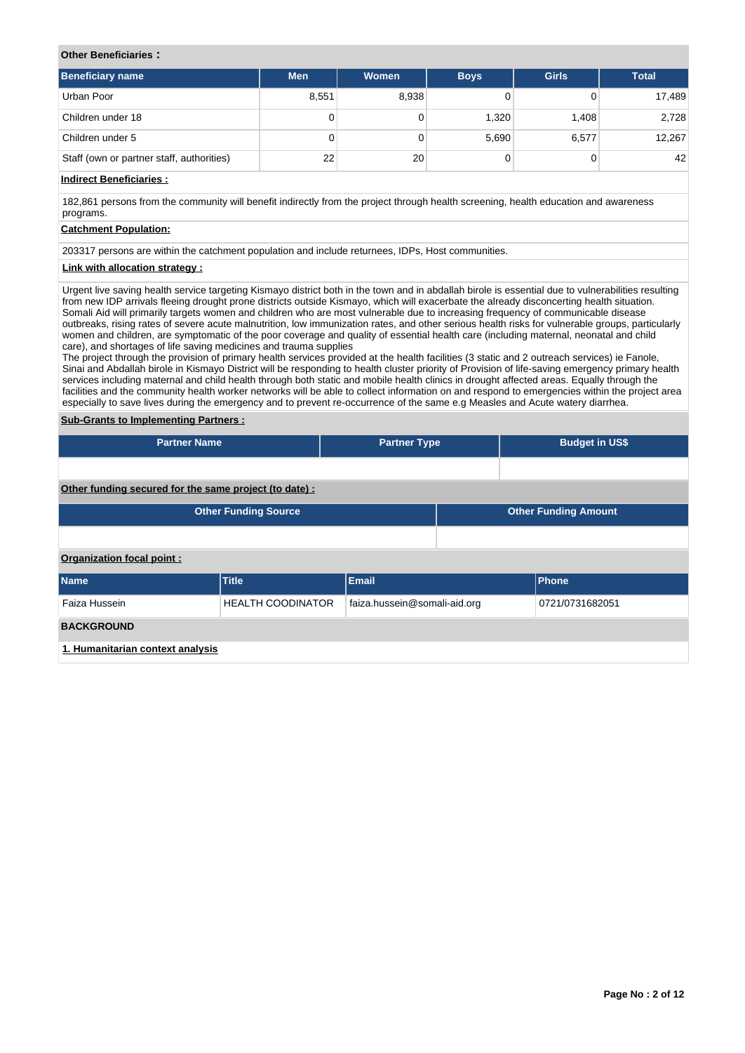## **Other Beneficiaries :**

| <b>Beneficiary name</b>                   | <b>Men</b> | <b>Women</b> | <b>Boys</b> | <b>Girls</b> | <b>Total</b> |
|-------------------------------------------|------------|--------------|-------------|--------------|--------------|
| Urban Poor                                | 8,551      | 8,938        |             |              | 17,489       |
| Children under 18                         | 0          |              | 1,320       | 1.408        | 2,728        |
| Children under 5                          | 0          |              | 5,690       | 6,577        | 12,267       |
| Staff (own or partner staff, authorities) | 22         | 20           |             |              | 42           |

# **Indirect Beneficiaries :**

182,861 persons from the community will benefit indirectly from the project through health screening, health education and awareness programs.

## **Catchment Population:**

203317 persons are within the catchment population and include returnees, IDPs, Host communities.

## **Link with allocation strategy :**

Urgent live saving health service targeting Kismayo district both in the town and in abdallah birole is essential due to vulnerabilities resulting from new IDP arrivals fleeing drought prone districts outside Kismayo, which will exacerbate the already disconcerting health situation. Somali Aid will primarily targets women and children who are most vulnerable due to increasing frequency of communicable disease outbreaks, rising rates of severe acute malnutrition, low immunization rates, and other serious health risks for vulnerable groups, particularly women and children, are symptomatic of the poor coverage and quality of essential health care (including maternal, neonatal and child care), and shortages of life saving medicines and trauma supplies

The project through the provision of primary health services provided at the health facilities (3 static and 2 outreach services) ie Fanole, Sinai and Abdallah birole in Kismayo District will be responding to health cluster priority of Provision of life-saving emergency primary health services including maternal and child health through both static and mobile health clinics in drought affected areas. Equally through the facilities and the community health worker networks will be able to collect information on and respond to emergencies within the project area especially to save lives during the emergency and to prevent re-occurrence of the same e.g Measles and Acute watery diarrhea.

## **Sub-Grants to Implementing Partners :**

| <b>Partner Name</b>                                   |                             | <b>Partner Type</b>                             |  |  | <b>Budget in US\$</b>       |  |  |  |
|-------------------------------------------------------|-----------------------------|-------------------------------------------------|--|--|-----------------------------|--|--|--|
|                                                       |                             |                                                 |  |  |                             |  |  |  |
| Other funding secured for the same project (to date): |                             |                                                 |  |  |                             |  |  |  |
|                                                       | <b>Other Funding Source</b> |                                                 |  |  | <b>Other Funding Amount</b> |  |  |  |
|                                                       |                             |                                                 |  |  |                             |  |  |  |
| Organization focal point:                             |                             |                                                 |  |  |                             |  |  |  |
| <b>Name</b>                                           | <b>Title</b>                | <b>Email</b>                                    |  |  | Phone                       |  |  |  |
| Faiza Hussein                                         | <b>HEALTH COODINATOR</b>    | faiza.hussein@somali-aid.org<br>0721/0731682051 |  |  |                             |  |  |  |

**1. Humanitarian context analysis**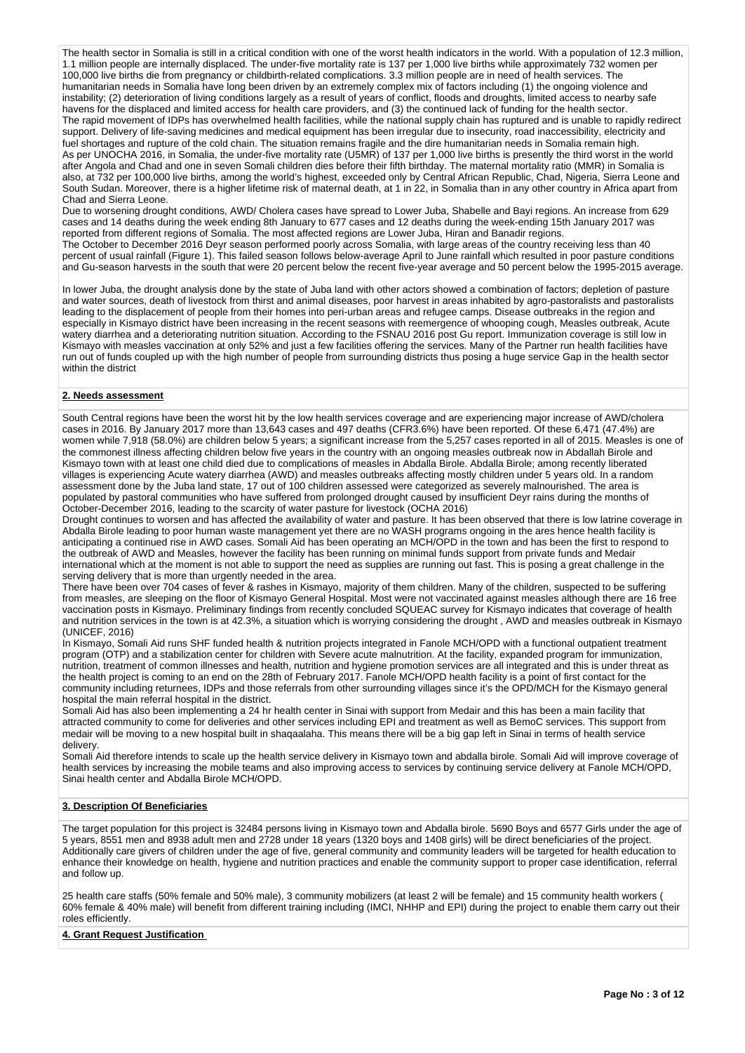The health sector in Somalia is still in a critical condition with one of the worst health indicators in the world. With a population of 12.3 million, 1.1 million people are internally displaced. The under-five mortality rate is 137 per 1,000 live births while approximately 732 women per 100,000 live births die from pregnancy or childbirth-related complications. 3.3 million people are in need of health services. The humanitarian needs in Somalia have long been driven by an extremely complex mix of factors including (1) the ongoing violence and instability; (2) deterioration of living conditions largely as a result of years of conflict, floods and droughts, limited access to nearby safe havens for the displaced and limited access for health care providers, and (3) the continued lack of funding for the health sector. The rapid movement of IDPs has overwhelmed health facilities, while the national supply chain has ruptured and is unable to rapidly redirect support. Delivery of life-saving medicines and medical equipment has been irregular due to insecurity, road inaccessibility, electricity and fuel shortages and rupture of the cold chain. The situation remains fragile and the dire humanitarian needs in Somalia remain high. As per UNOCHA 2016, in Somalia, the under-five mortality rate (U5MR) of 137 per 1,000 live births is presently the third worst in the world after Angola and Chad and one in seven Somali children dies before their fifth birthday. The maternal mortality ratio (MMR) in Somalia is also, at 732 per 100,000 live births, among the world's highest, exceeded only by Central African Republic, Chad, Nigeria, Sierra Leone and South Sudan. Moreover, there is a higher lifetime risk of maternal death, at 1 in 22, in Somalia than in any other country in Africa apart from Chad and Sierra Leone.

Due to worsening drought conditions, AWD/ Cholera cases have spread to Lower Juba, Shabelle and Bayi regions. An increase from 629 cases and 14 deaths during the week ending 8th January to 677 cases and 12 deaths during the week-ending 15th January 2017 was reported from different regions of Somalia. The most affected regions are Lower Juba, Hiran and Banadir regions. The October to December 2016 Deyr season performed poorly across Somalia, with large areas of the country receiving less than 40 percent of usual rainfall (Figure 1). This failed season follows below-average April to June rainfall which resulted in poor pasture conditions and Gu-season harvests in the south that were 20 percent below the recent five-year average and 50 percent below the 1995-2015 average.

In lower Juba, the drought analysis done by the state of Juba land with other actors showed a combination of factors; depletion of pasture and water sources, death of livestock from thirst and animal diseases, poor harvest in areas inhabited by agro-pastoralists and pastoralists leading to the displacement of people from their homes into peri-urban areas and refugee camps. Disease outbreaks in the region and especially in Kismayo district have been increasing in the recent seasons with reemergence of whooping cough, Measles outbreak, Acute watery diarrhea and a deteriorating nutrition situation. According to the FSNAU 2016 post Gu report. Immunization coverage is still low in Kismayo with measles vaccination at only 52% and just a few facilities offering the services. Many of the Partner run health facilities have run out of funds coupled up with the high number of people from surrounding districts thus posing a huge service Gap in the health sector within the district

#### **2. Needs assessment**

South Central regions have been the worst hit by the low health services coverage and are experiencing major increase of AWD/cholera cases in 2016. By January 2017 more than 13,643 cases and 497 deaths (CFR3.6%) have been reported. Of these 6,471 (47.4%) are women while 7,918 (58.0%) are children below 5 years; a significant increase from the 5,257 cases reported in all of 2015. Measles is one of the commonest illness affecting children below five years in the country with an ongoing measles outbreak now in Abdallah Birole and Kismayo town with at least one child died due to complications of measles in Abdalla Birole. Abdalla Birole; among recently liberated villages is experiencing Acute watery diarrhea (AWD) and measles outbreaks affecting mostly children under 5 years old. In a random assessment done by the Juba land state, 17 out of 100 children assessed were categorized as severely malnourished. The area is populated by pastoral communities who have suffered from prolonged drought caused by insufficient Deyr rains during the months of October-December 2016, leading to the scarcity of water pasture for livestock (OCHA 2016)

Drought continues to worsen and has affected the availability of water and pasture. It has been observed that there is low latrine coverage in Abdalla Birole leading to poor human waste management yet there are no WASH programs ongoing in the ares hence health facility is anticipating a continued rise in AWD cases. Somali Aid has been operating an MCH/OPD in the town and has been the first to respond to the outbreak of AWD and Measles, however the facility has been running on minimal funds support from private funds and Medair international which at the moment is not able to support the need as supplies are running out fast. This is posing a great challenge in the serving delivery that is more than urgently needed in the area.

There have been over 704 cases of fever & rashes in Kismayo, majority of them children. Many of the children, suspected to be suffering from measles, are sleeping on the floor of Kismayo General Hospital. Most were not vaccinated against measles although there are 16 free vaccination posts in Kismayo. Preliminary findings from recently concluded SQUEAC survey for Kismayo indicates that coverage of health and nutrition services in the town is at 42.3%, a situation which is worrying considering the drought , AWD and measles outbreak in Kismayo (UNICEF, 2016)

In Kismayo, Somali Aid runs SHF funded health & nutrition projects integrated in Fanole MCH/OPD with a functional outpatient treatment program (OTP) and a stabilization center for children with Severe acute malnutrition. At the facility, expanded program for immunization, nutrition, treatment of common illnesses and health, nutrition and hygiene promotion services are all integrated and this is under threat as the health project is coming to an end on the 28th of February 2017. Fanole MCH/OPD health facility is a point of first contact for the community including returnees, IDPs and those referrals from other surrounding villages since it's the OPD/MCH for the Kismayo general hospital the main referral hospital in the district.

Somali Aid has also been implementing a 24 hr health center in Sinai with support from Medair and this has been a main facility that attracted community to come for deliveries and other services including EPI and treatment as well as BemoC services. This support from medair will be moving to a new hospital built in shaqaalaha. This means there will be a big gap left in Sinai in terms of health service delivery.

Somali Aid therefore intends to scale up the health service delivery in Kismayo town and abdalla birole. Somali Aid will improve coverage of health services by increasing the mobile teams and also improving access to services by continuing service delivery at Fanole MCH/OPD, Sinai health center and Abdalla Birole MCH/OPD.

#### **3. Description Of Beneficiaries**

The target population for this project is 32484 persons living in Kismayo town and Abdalla birole. 5690 Boys and 6577 Girls under the age of 5 years, 8551 men and 8938 adult men and 2728 under 18 years (1320 boys and 1408 girls) will be direct beneficiaries of the project. Additionally care givers of children under the age of five, general community and community leaders will be targeted for health education to enhance their knowledge on health, hygiene and nutrition practices and enable the community support to proper case identification, referral and follow up.

25 health care staffs (50% female and 50% male), 3 community mobilizers (at least 2 will be female) and 15 community health workers ( 60% female & 40% male) will benefit from different training including (IMCI, NHHP and EPI) during the project to enable them carry out their roles efficiently.

#### **4. Grant Request Justification**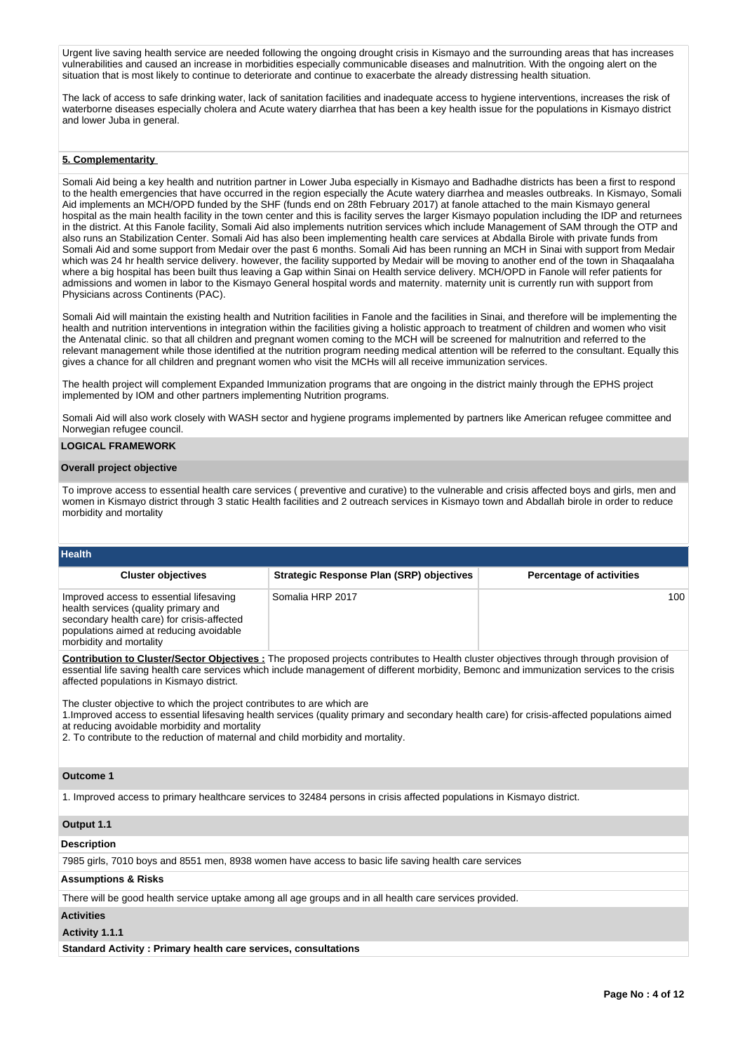Urgent live saving health service are needed following the ongoing drought crisis in Kismayo and the surrounding areas that has increases vulnerabilities and caused an increase in morbidities especially communicable diseases and malnutrition. With the ongoing alert on the situation that is most likely to continue to deteriorate and continue to exacerbate the already distressing health situation.

The lack of access to safe drinking water, lack of sanitation facilities and inadequate access to hygiene interventions, increases the risk of waterborne diseases especially cholera and Acute watery diarrhea that has been a key health issue for the populations in Kismayo district and lower Juba in general.

## **5. Complementarity**

Somali Aid being a key health and nutrition partner in Lower Juba especially in Kismayo and Badhadhe districts has been a first to respond to the health emergencies that have occurred in the region especially the Acute watery diarrhea and measles outbreaks. In Kismayo, Somali Aid implements an MCH/OPD funded by the SHF (funds end on 28th February 2017) at fanole attached to the main Kismayo general hospital as the main health facility in the town center and this is facility serves the larger Kismayo population including the IDP and returnees in the district. At this Fanole facility, Somali Aid also implements nutrition services which include Management of SAM through the OTP and also runs an Stabilization Center. Somali Aid has also been implementing health care services at Abdalla Birole with private funds from Somali Aid and some support from Medair over the past 6 months. Somali Aid has been running an MCH in Sinai with support from Medair which was 24 hr health service delivery. however, the facility supported by Medair will be moving to another end of the town in Shaqaalaha where a big hospital has been built thus leaving a Gap within Sinai on Health service delivery. MCH/OPD in Fanole will refer patients for admissions and women in labor to the Kismayo General hospital words and maternity. maternity unit is currently run with support from Physicians across Continents (PAC).

Somali Aid will maintain the existing health and Nutrition facilities in Fanole and the facilities in Sinai, and therefore will be implementing the health and nutrition interventions in integration within the facilities giving a holistic approach to treatment of children and women who visit the Antenatal clinic. so that all children and pregnant women coming to the MCH will be screened for malnutrition and referred to the relevant management while those identified at the nutrition program needing medical attention will be referred to the consultant. Equally this gives a chance for all children and pregnant women who visit the MCHs will all receive immunization services.

The health project will complement Expanded Immunization programs that are ongoing in the district mainly through the EPHS project implemented by IOM and other partners implementing Nutrition programs.

Somali Aid will also work closely with WASH sector and hygiene programs implemented by partners like American refugee committee and Norwegian refugee council.

#### **LOGICAL FRAMEWORK**

#### **Overall project objective**

To improve access to essential health care services ( preventive and curative) to the vulnerable and crisis affected boys and girls, men and women in Kismayo district through 3 static Health facilities and 2 outreach services in Kismayo town and Abdallah birole in order to reduce morbidity and mortality

| <b>Health</b> |  |
|---------------|--|
|               |  |
|               |  |

| <b>Cluster objectives</b>                                                                                                                                                                           | <b>Strategic Response Plan (SRP) objectives</b> | <b>Percentage of activities</b> |
|-----------------------------------------------------------------------------------------------------------------------------------------------------------------------------------------------------|-------------------------------------------------|---------------------------------|
| Improved access to essential lifesaving<br>health services (quality primary and<br>secondary health care) for crisis-affected<br>populations aimed at reducing avoidable<br>morbidity and mortality | Somalia HRP 2017                                | 100 <sup>°</sup>                |

**Contribution to Cluster/Sector Objectives :** The proposed projects contributes to Health cluster objectives through through provision of essential life saving health care services which include management of different morbidity, Bemonc and immunization services to the crisis affected populations in Kismayo district.

The cluster objective to which the project contributes to are which are

1.Improved access to essential lifesaving health services (quality primary and secondary health care) for crisis-affected populations aimed at reducing avoidable morbidity and mortality

2. To contribute to the reduction of maternal and child morbidity and mortality.

## **Outcome 1**

1. Improved access to primary healthcare services to 32484 persons in crisis affected populations in Kismayo district.

#### **Output 1.1**

#### **Description**

7985 girls, 7010 boys and 8551 men, 8938 women have access to basic life saving health care services

## **Assumptions & Risks**

There will be good health service uptake among all age groups and in all health care services provided.

#### **Activities**

#### **Activity 1.1.1**

**Standard Activity : Primary health care services, consultations**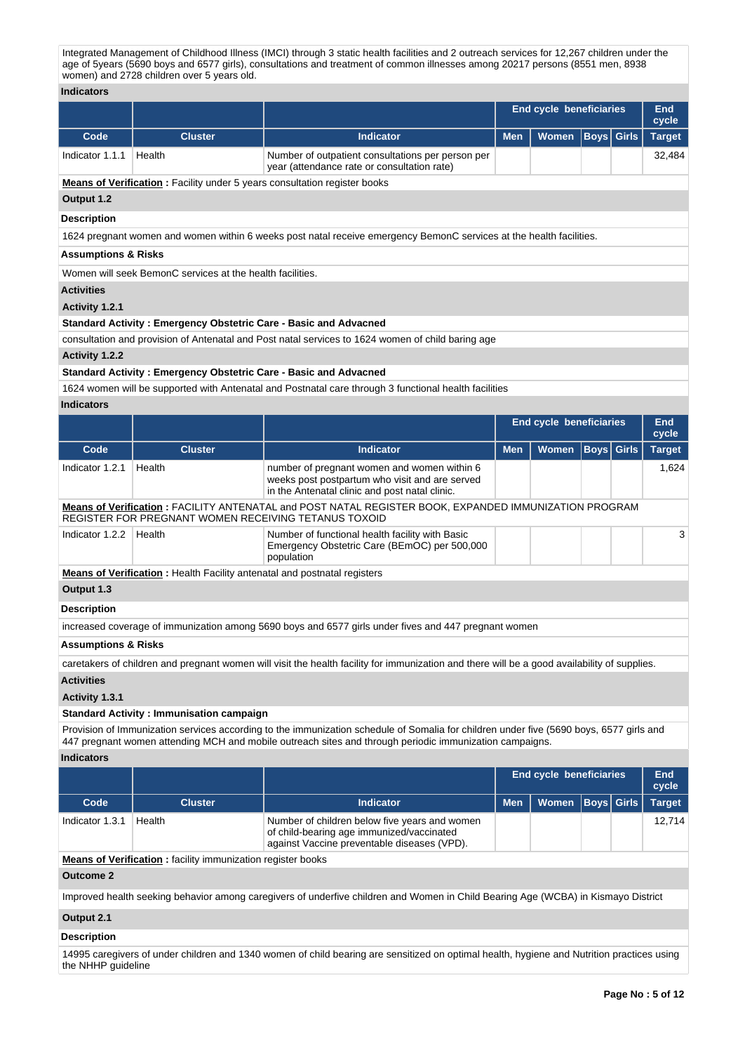Integrated Management of Childhood Illness (IMCI) through 3 static health facilities and 2 outreach services for 12,267 children under the age of 5years (5690 boys and 6577 girls), consultations and treatment of common illnesses among 20217 persons (8551 men, 8938 women) and 2728 children over 5 years old.

| <b>Indicators</b>                                                                                 |                                                                                  |                                                                                                                                                 |            |                                |             |              |                     |  |  |  |  |
|---------------------------------------------------------------------------------------------------|----------------------------------------------------------------------------------|-------------------------------------------------------------------------------------------------------------------------------------------------|------------|--------------------------------|-------------|--------------|---------------------|--|--|--|--|
|                                                                                                   |                                                                                  |                                                                                                                                                 |            | End cycle beneficiaries        |             |              | End<br>cycle        |  |  |  |  |
| Code                                                                                              | <b>Cluster</b>                                                                   | <b>Indicator</b>                                                                                                                                | <b>Men</b> | <b>Women</b>                   | <b>Boys</b> | <b>Girls</b> | <b>Target</b>       |  |  |  |  |
| Indicator 1.1.1                                                                                   | Health                                                                           | Number of outpatient consultations per person per<br>year (attendance rate or consultation rate)                                                |            |                                |             |              | 32,484              |  |  |  |  |
|                                                                                                   | <b>Means of Verification:</b> Facility under 5 years consultation register books |                                                                                                                                                 |            |                                |             |              |                     |  |  |  |  |
| Output 1.2                                                                                        |                                                                                  |                                                                                                                                                 |            |                                |             |              |                     |  |  |  |  |
| <b>Description</b>                                                                                |                                                                                  |                                                                                                                                                 |            |                                |             |              |                     |  |  |  |  |
|                                                                                                   |                                                                                  | 1624 pregnant women and women within 6 weeks post natal receive emergency BemonC services at the health facilities.                             |            |                                |             |              |                     |  |  |  |  |
| <b>Assumptions &amp; Risks</b>                                                                    |                                                                                  |                                                                                                                                                 |            |                                |             |              |                     |  |  |  |  |
|                                                                                                   | Women will seek BemonC services at the health facilities.                        |                                                                                                                                                 |            |                                |             |              |                     |  |  |  |  |
| <b>Activities</b>                                                                                 |                                                                                  |                                                                                                                                                 |            |                                |             |              |                     |  |  |  |  |
| Activity 1.2.1                                                                                    |                                                                                  |                                                                                                                                                 |            |                                |             |              |                     |  |  |  |  |
| Standard Activity: Emergency Obstetric Care - Basic and Advacned                                  |                                                                                  |                                                                                                                                                 |            |                                |             |              |                     |  |  |  |  |
| consultation and provision of Antenatal and Post natal services to 1624 women of child baring age |                                                                                  |                                                                                                                                                 |            |                                |             |              |                     |  |  |  |  |
| <b>Activity 1.2.2</b>                                                                             |                                                                                  |                                                                                                                                                 |            |                                |             |              |                     |  |  |  |  |
|                                                                                                   | Standard Activity: Emergency Obstetric Care - Basic and Advacned                 |                                                                                                                                                 |            |                                |             |              |                     |  |  |  |  |
|                                                                                                   |                                                                                  | 1624 women will be supported with Antenatal and Postnatal care through 3 functional health facilities                                           |            |                                |             |              |                     |  |  |  |  |
| <b>Indicators</b>                                                                                 |                                                                                  |                                                                                                                                                 |            |                                |             |              |                     |  |  |  |  |
|                                                                                                   |                                                                                  |                                                                                                                                                 |            | <b>End cycle beneficiaries</b> |             |              | <b>End</b><br>cycle |  |  |  |  |
| Code                                                                                              | <b>Cluster</b>                                                                   | <b>Indicator</b>                                                                                                                                | <b>Men</b> | <b>Women</b>                   | <b>Boys</b> | <b>Girls</b> | <b>Target</b>       |  |  |  |  |
| Indicator 1.2.1                                                                                   | Health                                                                           | number of pregnant women and women within 6<br>weeks post postpartum who visit and are served<br>in the Antenatal clinic and post natal clinic. |            |                                |             |              | 1,624               |  |  |  |  |
|                                                                                                   | REGISTER FOR PREGNANT WOMEN RECEIVING TETANUS TOXOID                             | Means of Verification: FACILITY ANTENATAL and POST NATAL REGISTER BOOK, EXPANDED IMMUNIZATION PROGRAM                                           |            |                                |             |              |                     |  |  |  |  |
| Indicator 1.2.2                                                                                   | Health                                                                           | Number of functional health facility with Basic<br>Emergency Obstetric Care (BEmOC) per 500,000<br>population                                   |            |                                |             |              | 3                   |  |  |  |  |
|                                                                                                   | Means of Verification: Health Facility antenatal and postnatal registers         |                                                                                                                                                 |            |                                |             |              |                     |  |  |  |  |
| Output 1.3                                                                                        |                                                                                  |                                                                                                                                                 |            |                                |             |              |                     |  |  |  |  |
| <b>Description</b>                                                                                |                                                                                  |                                                                                                                                                 |            |                                |             |              |                     |  |  |  |  |
|                                                                                                   |                                                                                  | increased coverage of immunization among 5690 boys and 6577 girls under fives and 447 pregnant women                                            |            |                                |             |              |                     |  |  |  |  |
| Accumptione & Dieke                                                                               |                                                                                  |                                                                                                                                                 |            |                                |             |              |                     |  |  |  |  |

#### **Assumptions & Risks**

caretakers of children and pregnant women will visit the health facility for immunization and there will be a good availability of supplies.

# **Activities**

**Activity 1.3.1** 

#### **Standard Activity : Immunisation campaign**

Provision of Immunization services according to the immunization schedule of Somalia for children under five (5690 boys, 6577 girls and 447 pregnant women attending MCH and mobile outreach sites and through periodic immunization campaigns.

#### **Indicators**

|                 |                |                                                                                                                                           |            | End cycle beneficiaries       |  | End<br>cycle |
|-----------------|----------------|-------------------------------------------------------------------------------------------------------------------------------------------|------------|-------------------------------|--|--------------|
| Code            | <b>Cluster</b> | <b>Indicator</b>                                                                                                                          | <b>Men</b> | Women   Boys   Girls   Target |  |              |
| Indicator 1.3.1 | Health         | Number of children below five years and women<br>of child-bearing age immunized/vaccinated<br>against Vaccine preventable diseases (VPD). |            |                               |  | 12.714       |

**Means of Verification :** facility immunization register books

## **Outcome 2**

Improved health seeking behavior among caregivers of underfive children and Women in Child Bearing Age (WCBA) in Kismayo District

## **Output 2.1**

## **Description**

14995 caregivers of under children and 1340 women of child bearing are sensitized on optimal health, hygiene and Nutrition practices using the NHHP guideline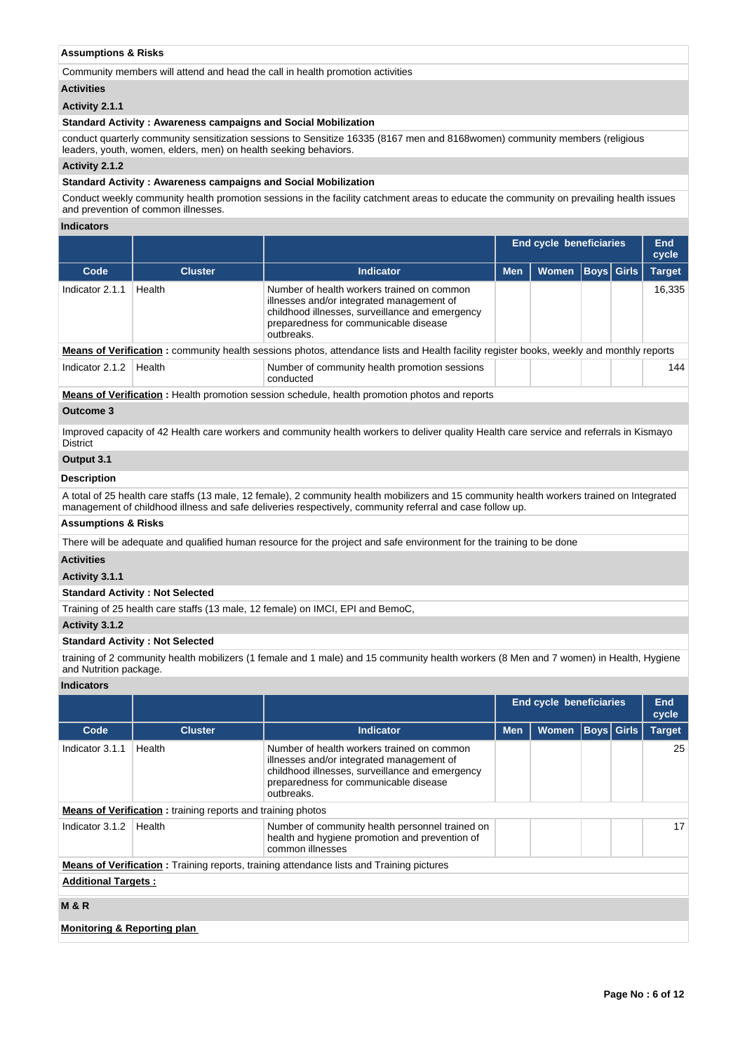## **Assumptions & Risks**

Community members will attend and head the call in health promotion activities

#### **Activities**

## **Activity 2.1.1**

#### **Standard Activity : Awareness campaigns and Social Mobilization**

conduct quarterly community sensitization sessions to Sensitize 16335 (8167 men and 8168women) community members (religious leaders, youth, women, elders, men) on health seeking behaviors.

## **Activity 2.1.2**

#### **Standard Activity : Awareness campaigns and Social Mobilization**

Conduct weekly community health promotion sessions in the facility catchment areas to educate the community on prevailing health issues and prevention of common illnesses.

## **Indicators**

|                 |                |                                                                                                                                                                                                   |            | <b>End cycle beneficiaries</b> |                   |  | End<br>cycle  |  |
|-----------------|----------------|---------------------------------------------------------------------------------------------------------------------------------------------------------------------------------------------------|------------|--------------------------------|-------------------|--|---------------|--|
| Code            | <b>Cluster</b> | <b>Indicator</b>                                                                                                                                                                                  | <b>Men</b> | <b>Women</b>                   | <b>Boys Girls</b> |  | <b>Target</b> |  |
| Indicator 2.1.1 | Health         | Number of health workers trained on common<br>illnesses and/or integrated management of<br>childhood illnesses, surveillance and emergency<br>preparedness for communicable disease<br>outbreaks. |            |                                |                   |  | 16,335        |  |
|                 |                | <b>Means of Verification</b> : community health sessions photos, attendance lists and Health facility register books, weekly and monthly reports                                                  |            |                                |                   |  |               |  |
| Indicator 2.1.2 | Health         | Number of community health promotion sessions<br>conducted                                                                                                                                        |            |                                |                   |  | 144           |  |
|                 |                | <b>Means of Verification:</b> Health promotion session schedule, health promotion photos and reports                                                                                              |            |                                |                   |  |               |  |
| Outcome 3       |                |                                                                                                                                                                                                   |            |                                |                   |  |               |  |
|                 |                | Improved capacity of 42 Health care workers and community health workers to deliver quality Health care service and referrals in Kismayo                                                          |            |                                |                   |  |               |  |

Improved capacity of 42 Health care workers and community health workers to deliver quality Health care service and referrals in Kismayo **District** 

# **Output 3.1**

# **Description**

A total of 25 health care staffs (13 male, 12 female), 2 community health mobilizers and 15 community health workers trained on Integrated management of childhood illness and safe deliveries respectively, community referral and case follow up.

# **Assumptions & Risks**

There will be adequate and qualified human resource for the project and safe environment for the training to be done

## **Activities**

**Activity 3.1.1** 

#### **Standard Activity : Not Selected**

Training of 25 health care staffs (13 male, 12 female) on IMCI, EPI and BemoC,

# **Activity 3.1.2**

#### **Standard Activity : Not Selected**

training of 2 community health mobilizers (1 female and 1 male) and 15 community health workers (8 Men and 7 women) in Health, Hygiene and Nutrition package.

#### **Indicators**

|                             |                                                                    |                                                                                                                                                                                                   |            | <b>End cycle beneficiaries</b> |                   |  | End<br>cycle  |  |
|-----------------------------|--------------------------------------------------------------------|---------------------------------------------------------------------------------------------------------------------------------------------------------------------------------------------------|------------|--------------------------------|-------------------|--|---------------|--|
| Code                        | <b>Cluster</b>                                                     | Indicator                                                                                                                                                                                         | <b>Men</b> | <b>Women</b>                   | <b>Boys</b> Girls |  | <b>Target</b> |  |
| Indicator 3.1.1             | Health                                                             | Number of health workers trained on common<br>illnesses and/or integrated management of<br>childhood illnesses, surveillance and emergency<br>preparedness for communicable disease<br>outbreaks. |            |                                |                   |  | 25            |  |
|                             | <b>Means of Verification:</b> training reports and training photos |                                                                                                                                                                                                   |            |                                |                   |  |               |  |
| Indicator 3.1.2             | Health                                                             | Number of community health personnel trained on<br>health and hygiene promotion and prevention of<br>common illnesses                                                                             |            |                                |                   |  | 17            |  |
|                             |                                                                    | <b>Means of Verification:</b> Training reports, training attendance lists and Training pictures                                                                                                   |            |                                |                   |  |               |  |
| <b>Additional Targets:</b>  |                                                                    |                                                                                                                                                                                                   |            |                                |                   |  |               |  |
| <b>M&amp;R</b>              |                                                                    |                                                                                                                                                                                                   |            |                                |                   |  |               |  |
| Monitoring & Reporting plan |                                                                    |                                                                                                                                                                                                   |            |                                |                   |  |               |  |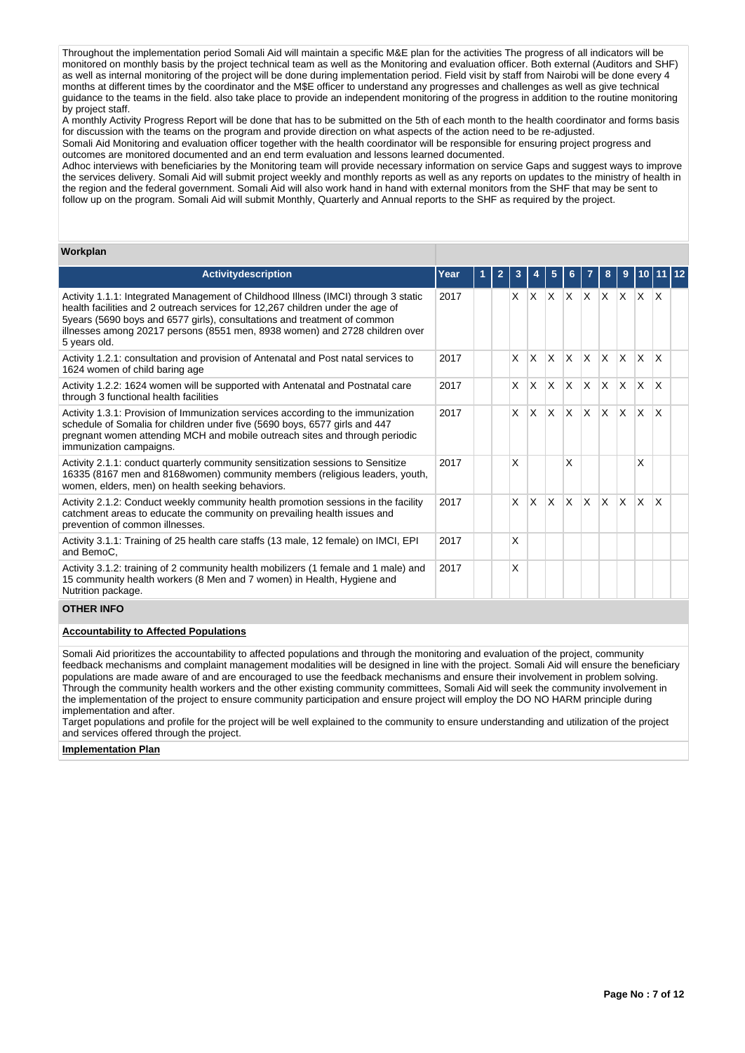Throughout the implementation period Somali Aid will maintain a specific M&E plan for the activities The progress of all indicators will be monitored on monthly basis by the project technical team as well as the Monitoring and evaluation officer. Both external (Auditors and SHF) as well as internal monitoring of the project will be done during implementation period. Field visit by staff from Nairobi will be done every 4 months at different times by the coordinator and the M\$E officer to understand any progresses and challenges as well as give technical guidance to the teams in the field. also take place to provide an independent monitoring of the progress in addition to the routine monitoring by project staff.

A monthly Activity Progress Report will be done that has to be submitted on the 5th of each month to the health coordinator and forms basis for discussion with the teams on the program and provide direction on what aspects of the action need to be re-adjusted. Somali Aid Monitoring and evaluation officer together with the health coordinator will be responsible for ensuring project progress and outcomes are monitored documented and an end term evaluation and lessons learned documented.

Adhoc interviews with beneficiaries by the Monitoring team will provide necessary information on service Gaps and suggest ways to improve the services delivery. Somali Aid will submit project weekly and monthly reports as well as any reports on updates to the ministry of health in the region and the federal government. Somali Aid will also work hand in hand with external monitors from the SHF that may be sent to follow up on the program. Somali Aid will submit Monthly, Quarterly and Annual reports to the SHF as required by the project.

#### **Workplan**

| <b>Activitydescription</b>                                                                                                                                                                                                                                                                                                                      | Year |  |          |          |              |          |             | 8                       | 9            |              |              |  |
|-------------------------------------------------------------------------------------------------------------------------------------------------------------------------------------------------------------------------------------------------------------------------------------------------------------------------------------------------|------|--|----------|----------|--------------|----------|-------------|-------------------------|--------------|--------------|--------------|--|
| Activity 1.1.1: Integrated Management of Childhood Illness (IMCI) through 3 static<br>health facilities and 2 outreach services for 12,267 children under the age of<br>5years (5690 boys and 6577 girls), consultations and treatment of common<br>illnesses among 20217 persons (8551 men, 8938 women) and 2728 children over<br>5 years old. | 2017 |  | <b>X</b> | Ιx.      | $\times$     | ΙX.      | $X$ $X$ $X$ |                         |              | $\mathsf{X}$ | $\mathsf{X}$ |  |
| Activity 1.2.1: consultation and provision of Antenatal and Post natal services to<br>1624 women of child baring age                                                                                                                                                                                                                            | 2017 |  | IX.      | ΙX.      | X            | ΙX.      | $X$ $X$ $X$ |                         |              | $\mathsf{X}$ | $\mathsf{X}$ |  |
| Activity 1.2.2: 1624 women will be supported with Antenatal and Postnatal care<br>through 3 functional health facilities                                                                                                                                                                                                                        | 2017 |  | X        | <b>X</b> | $\mathsf{x}$ | X        | ΙX.         | $\mathsf{I} \mathsf{X}$ | X.           | X.           | $\mathsf{x}$ |  |
| Activity 1.3.1: Provision of Immunization services according to the immunization<br>schedule of Somalia for children under five (5690 boys, 6577 girls and 447<br>pregnant women attending MCH and mobile outreach sites and through periodic<br>immunization campaigns.                                                                        | 2017 |  | X.       | X.       | X            | $\times$ | ΙX.         | $\mathsf{X} \mathsf{X}$ |              | ΙX.          | <b>X</b>     |  |
| Activity 2.1.1: conduct quarterly community sensitization sessions to Sensitize<br>16335 (8167 men and 8168women) community members (religious leaders, youth,<br>women, elders, men) on health seeking behaviors.                                                                                                                              | 2017 |  | X        |          |              | X        |             |                         |              | X            |              |  |
| Activity 2.1.2: Conduct weekly community health promotion sessions in the facility<br>catchment areas to educate the community on prevailing health issues and<br>prevention of common illnesses.                                                                                                                                               | 2017 |  | IX.      | ΙX.      | $\times$     | $\times$ | ΙX.         | $\mathsf{X}$            | $\mathsf{X}$ | Ιx.          | $\mathsf{X}$ |  |
| Activity 3.1.1: Training of 25 health care staffs (13 male, 12 female) on IMCI, EPI<br>and BemoC.                                                                                                                                                                                                                                               | 2017 |  | X        |          |              |          |             |                         |              |              |              |  |
| Activity 3.1.2: training of 2 community health mobilizers (1 female and 1 male) and<br>15 community health workers (8 Men and 7 women) in Health, Hygiene and<br>Nutrition package.                                                                                                                                                             | 2017 |  | X        |          |              |          |             |                         |              |              |              |  |
| <b>OTHER INFO</b>                                                                                                                                                                                                                                                                                                                               |      |  |          |          |              |          |             |                         |              |              |              |  |

## **Accountability to Affected Populations**

Somali Aid prioritizes the accountability to affected populations and through the monitoring and evaluation of the project, community feedback mechanisms and complaint management modalities will be designed in line with the project. Somali Aid will ensure the beneficiary populations are made aware of and are encouraged to use the feedback mechanisms and ensure their involvement in problem solving. Through the community health workers and the other existing community committees, Somali Aid will seek the community involvement in the implementation of the project to ensure community participation and ensure project will employ the DO NO HARM principle during implementation and after.

Target populations and profile for the project will be well explained to the community to ensure understanding and utilization of the project and services offered through the project.

#### **Implementation Plan**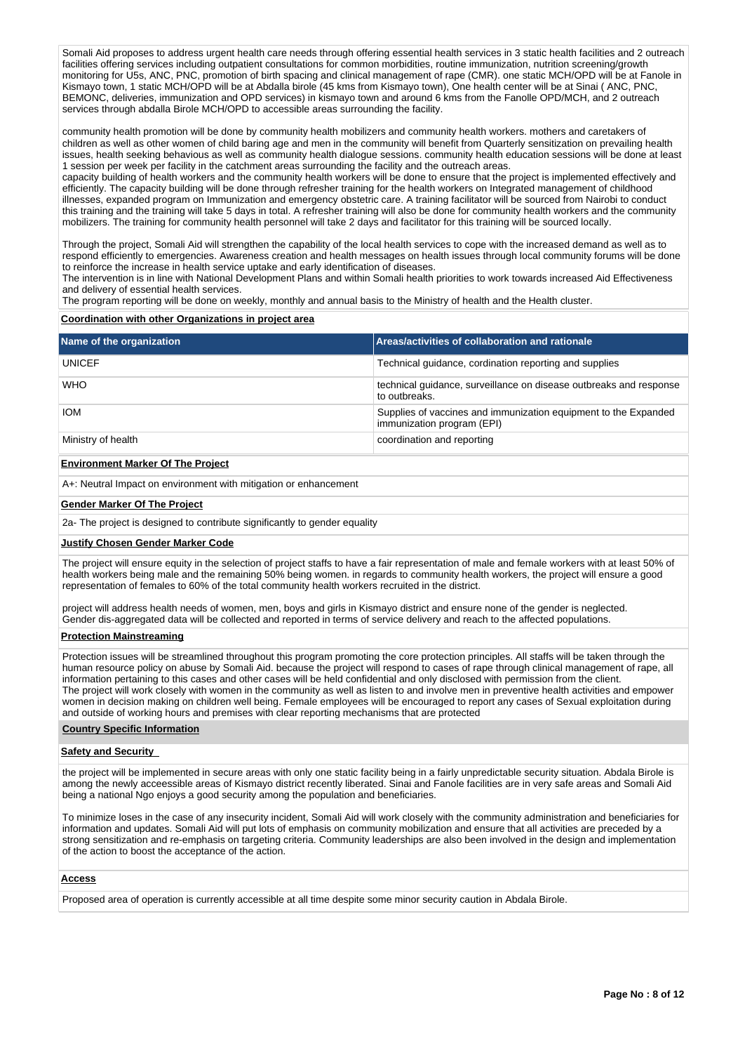Somali Aid proposes to address urgent health care needs through offering essential health services in 3 static health facilities and 2 outreach facilities offering services including outpatient consultations for common morbidities, routine immunization, nutrition screening/growth monitoring for U5s, ANC, PNC, promotion of birth spacing and clinical management of rape (CMR). one static MCH/OPD will be at Fanole in Kismayo town, 1 static MCH/OPD will be at Abdalla birole (45 kms from Kismayo town), One health center will be at Sinai ( ANC, PNC, BEMONC, deliveries, immunization and OPD services) in kismayo town and around 6 kms from the Fanolle OPD/MCH, and 2 outreach services through abdalla Birole MCH/OPD to accessible areas surrounding the facility.

community health promotion will be done by community health mobilizers and community health workers. mothers and caretakers of children as well as other women of child baring age and men in the community will benefit from Quarterly sensitization on prevailing health issues, health seeking behavious as well as community health dialogue sessions. community health education sessions will be done at least 1 session per week per facility in the catchment areas surrounding the facility and the outreach areas.

capacity building of health workers and the community health workers will be done to ensure that the project is implemented effectively and efficiently. The capacity building will be done through refresher training for the health workers on Integrated management of childhood illnesses, expanded program on Immunization and emergency obstetric care. A training facilitator will be sourced from Nairobi to conduct this training and the training will take 5 days in total. A refresher training will also be done for community health workers and the community mobilizers. The training for community health personnel will take 2 days and facilitator for this training will be sourced locally.

Through the project, Somali Aid will strengthen the capability of the local health services to cope with the increased demand as well as to respond efficiently to emergencies. Awareness creation and health messages on health issues through local community forums will be done to reinforce the increase in health service uptake and early identification of diseases.

The intervention is in line with National Development Plans and within Somali health priorities to work towards increased Aid Effectiveness and delivery of essential health services.

The program reporting will be done on weekly, monthly and annual basis to the Ministry of health and the Health cluster.

#### **Coordination with other Organizations in project area**

| Name of the organization | Areas/activities of collaboration and rationale                                               |
|--------------------------|-----------------------------------------------------------------------------------------------|
| <b>UNICEF</b>            | Technical guidance, cordination reporting and supplies                                        |
| <b>WHO</b>               | technical guidance, surveillance on disease outbreaks and response<br>to outbreaks.           |
| <b>IOM</b>               | Supplies of vaccines and immunization equipment to the Expanded<br>immunization program (EPI) |
| Ministry of health       | coordination and reporting                                                                    |
|                          |                                                                                               |

## **Environment Marker Of The Project**

A+: Neutral Impact on environment with mitigation or enhancement

#### **Gender Marker Of The Project**

2a- The project is designed to contribute significantly to gender equality

#### **Justify Chosen Gender Marker Code**

The project will ensure equity in the selection of project staffs to have a fair representation of male and female workers with at least 50% of health workers being male and the remaining 50% being women. in regards to community health workers, the project will ensure a good representation of females to 60% of the total community health workers recruited in the district.

project will address health needs of women, men, boys and girls in Kismayo district and ensure none of the gender is neglected. Gender dis-aggregated data will be collected and reported in terms of service delivery and reach to the affected populations.

#### **Protection Mainstreaming**

Protection issues will be streamlined throughout this program promoting the core protection principles. All staffs will be taken through the human resource policy on abuse by Somali Aid. because the project will respond to cases of rape through clinical management of rape, all information pertaining to this cases and other cases will be held confidential and only disclosed with permission from the client. The project will work closely with women in the community as well as listen to and involve men in preventive health activities and empower women in decision making on children well being. Female employees will be encouraged to report any cases of Sexual exploitation during and outside of working hours and premises with clear reporting mechanisms that are protected

## **Country Specific Information**

#### **Safety and Security**

the project will be implemented in secure areas with only one static facility being in a fairly unpredictable security situation. Abdala Birole is among the newly acceessible areas of Kismayo district recently liberated. Sinai and Fanole facilities are in very safe areas and Somali Aid being a national Ngo enjoys a good security among the population and beneficiaries.

To minimize loses in the case of any insecurity incident, Somali Aid will work closely with the community administration and beneficiaries for information and updates. Somali Aid will put lots of emphasis on community mobilization and ensure that all activities are preceded by a strong sensitization and re-emphasis on targeting criteria. Community leaderships are also been involved in the design and implementation of the action to boost the acceptance of the action.

#### **Access**

Proposed area of operation is currently accessible at all time despite some minor security caution in Abdala Birole.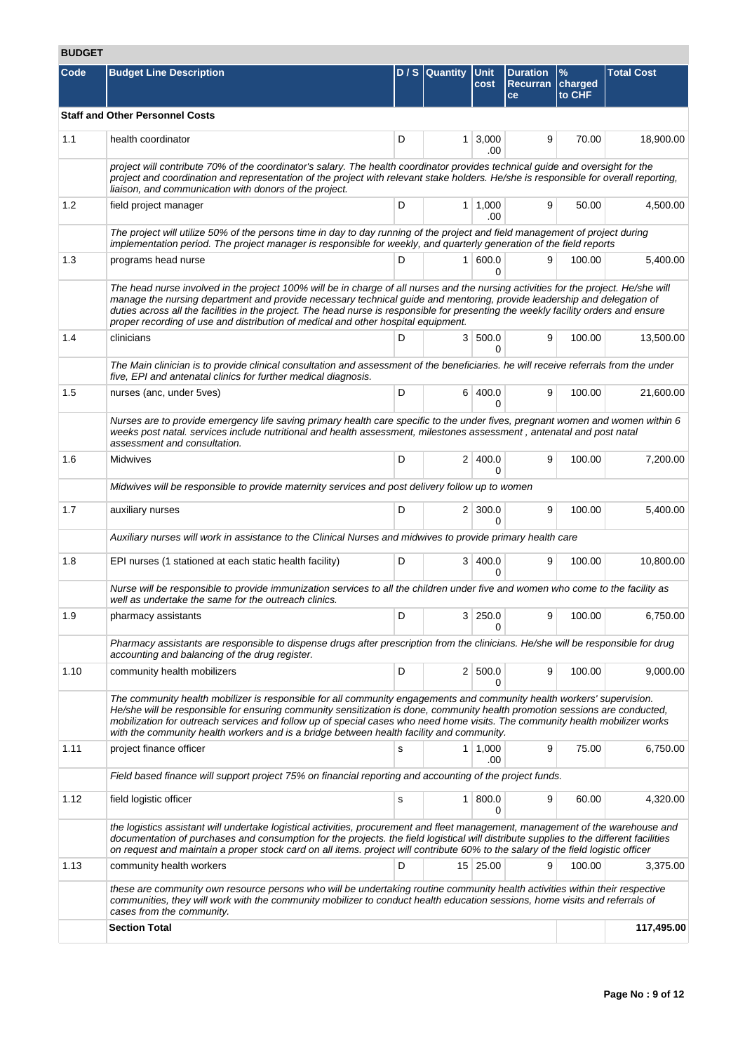# **BUDGET**

| Code | <b>Budget Line Description</b>                                                                                                                                                                                                                                                                                                                                                                                                                                                             |   | D / S Quantity Unit | cost                  | <b>Duration</b><br>Recurran charged<br>ce | $\frac{9}{6}$<br>to CHF | <b>Total Cost</b> |  |  |
|------|--------------------------------------------------------------------------------------------------------------------------------------------------------------------------------------------------------------------------------------------------------------------------------------------------------------------------------------------------------------------------------------------------------------------------------------------------------------------------------------------|---|---------------------|-----------------------|-------------------------------------------|-------------------------|-------------------|--|--|
|      | <b>Staff and Other Personnel Costs</b>                                                                                                                                                                                                                                                                                                                                                                                                                                                     |   |                     |                       |                                           |                         |                   |  |  |
|      |                                                                                                                                                                                                                                                                                                                                                                                                                                                                                            |   |                     |                       |                                           |                         |                   |  |  |
| 1.1  | health coordinator                                                                                                                                                                                                                                                                                                                                                                                                                                                                         | D |                     | $1 \, 3,000$<br>.00   | 9                                         | 70.00                   | 18,900.00         |  |  |
|      | project will contribute 70% of the coordinator's salary. The health coordinator provides technical guide and oversight for the<br>project and coordination and representation of the project with relevant stake holders. He/she is responsible for overall reporting,<br>liaison, and communication with donors of the project.                                                                                                                                                           |   |                     |                       |                                           |                         |                   |  |  |
| 1.2  | field project manager                                                                                                                                                                                                                                                                                                                                                                                                                                                                      | D |                     | $1 \mid 1,000$<br>.00 | 9                                         | 50.00                   | 4,500.00          |  |  |
|      | The project will utilize 50% of the persons time in day to day running of the project and field management of project during<br>implementation period. The project manager is responsible for weekly, and quarterly generation of the field reports                                                                                                                                                                                                                                        |   |                     |                       |                                           |                         |                   |  |  |
| 1.3  | programs head nurse                                                                                                                                                                                                                                                                                                                                                                                                                                                                        | D |                     | 1   600.0<br>0        | 9                                         | 100.00                  | 5,400.00          |  |  |
|      | The head nurse involved in the project 100% will be in charge of all nurses and the nursing activities for the project. He/she will<br>manage the nursing department and provide necessary technical guide and mentoring, provide leadership and delegation of<br>duties across all the facilities in the project. The head nurse is responsible for presenting the weekly facility orders and ensure<br>proper recording of use and distribution of medical and other hospital equipment. |   |                     |                       |                                           |                         |                   |  |  |
| 1.4  | clinicians                                                                                                                                                                                                                                                                                                                                                                                                                                                                                 | D |                     | 3   500.0<br>0        | 9                                         | 100.00                  | 13,500.00         |  |  |
|      | The Main clinician is to provide clinical consultation and assessment of the beneficiaries. he will receive referrals from the under<br>five, EPI and antenatal clinics for further medical diagnosis.                                                                                                                                                                                                                                                                                     |   |                     |                       |                                           |                         |                   |  |  |
| 1.5  | nurses (anc, under 5 ves)                                                                                                                                                                                                                                                                                                                                                                                                                                                                  | D |                     | 6 400.0<br>0          | 9                                         | 100.00                  | 21,600.00         |  |  |
|      | Nurses are to provide emergency life saving primary health care specific to the under fives, pregnant women and women within 6<br>weeks post natal. services include nutritional and health assessment, milestones assessment, antenatal and post natal<br>assessment and consultation.                                                                                                                                                                                                    |   |                     |                       |                                           |                         |                   |  |  |
| 1.6  | Midwives                                                                                                                                                                                                                                                                                                                                                                                                                                                                                   | D |                     | 2 400.0<br>O          | 9                                         | 100.00                  | 7,200.00          |  |  |
|      | Midwives will be responsible to provide maternity services and post delivery follow up to women                                                                                                                                                                                                                                                                                                                                                                                            |   |                     |                       |                                           |                         |                   |  |  |
| 1.7  | auxiliary nurses                                                                                                                                                                                                                                                                                                                                                                                                                                                                           | D |                     | $2 \mid 300.0$<br>0   | 9                                         | 100.00                  | 5,400.00          |  |  |
|      | Auxiliary nurses will work in assistance to the Clinical Nurses and midwives to provide primary health care                                                                                                                                                                                                                                                                                                                                                                                |   |                     |                       |                                           |                         |                   |  |  |
| 1.8  | EPI nurses (1 stationed at each static health facility)                                                                                                                                                                                                                                                                                                                                                                                                                                    | D | 3                   | 400.0<br>0            | 9                                         | 100.00                  | 10,800.00         |  |  |
|      | Nurse will be responsible to provide immunization services to all the children under five and women who come to the facility as<br>well as undertake the same for the outreach clinics.                                                                                                                                                                                                                                                                                                    |   |                     |                       |                                           |                         |                   |  |  |
| 1.9  | pharmacy assistants                                                                                                                                                                                                                                                                                                                                                                                                                                                                        | D | 3                   | 250.0<br>0            | 9                                         | 100.00                  | 6,750.00          |  |  |
|      | Pharmacy assistants are responsible to dispense drugs after prescription from the clinicians. He/she will be responsible for drug<br>accounting and balancing of the drug register.                                                                                                                                                                                                                                                                                                        |   |                     |                       |                                           |                         |                   |  |  |
| 1.10 | community health mobilizers                                                                                                                                                                                                                                                                                                                                                                                                                                                                | D |                     | 2   500.0<br>0        | 9                                         | 100.00                  | 9,000.00          |  |  |
|      | The community health mobilizer is responsible for all community engagements and community health workers' supervision.<br>He/she will be responsible for ensuring community sensitization is done, community health promotion sessions are conducted,<br>mobilization for outreach services and follow up of special cases who need home visits. The community health mobilizer works<br>with the community health workers and is a bridge between health facility and community.          |   |                     |                       |                                           |                         |                   |  |  |
| 1.11 | project finance officer                                                                                                                                                                                                                                                                                                                                                                                                                                                                    | s |                     | $1 \mid 1,000$<br>.00 | 9                                         | 75.00                   | 6,750.00          |  |  |
|      | Field based finance will support project 75% on financial reporting and accounting of the project funds.                                                                                                                                                                                                                                                                                                                                                                                   |   |                     |                       |                                           |                         |                   |  |  |
| 1.12 | field logistic officer                                                                                                                                                                                                                                                                                                                                                                                                                                                                     | s |                     | 1   800.0<br>0        | 9                                         | 60.00                   | 4,320.00          |  |  |
|      | the logistics assistant will undertake logistical activities, procurement and fleet management, management of the warehouse and<br>documentation of purchases and consumption for the projects. the field logistical will distribute supplies to the different facilities<br>on request and maintain a proper stock card on all items. project will contribute 60% to the salary of the field logistic officer                                                                             |   |                     |                       |                                           |                         |                   |  |  |
| 1.13 | community health workers                                                                                                                                                                                                                                                                                                                                                                                                                                                                   | D |                     | 15 25.00              | 9                                         | 100.00                  | 3,375.00          |  |  |
|      | these are community own resource persons who will be undertaking routine community health activities within their respective<br>communities, they will work with the community mobilizer to conduct health education sessions, home visits and referrals of<br>cases from the community.                                                                                                                                                                                                   |   |                     |                       |                                           |                         |                   |  |  |
|      | <b>Section Total</b>                                                                                                                                                                                                                                                                                                                                                                                                                                                                       |   |                     |                       |                                           |                         | 117,495.00        |  |  |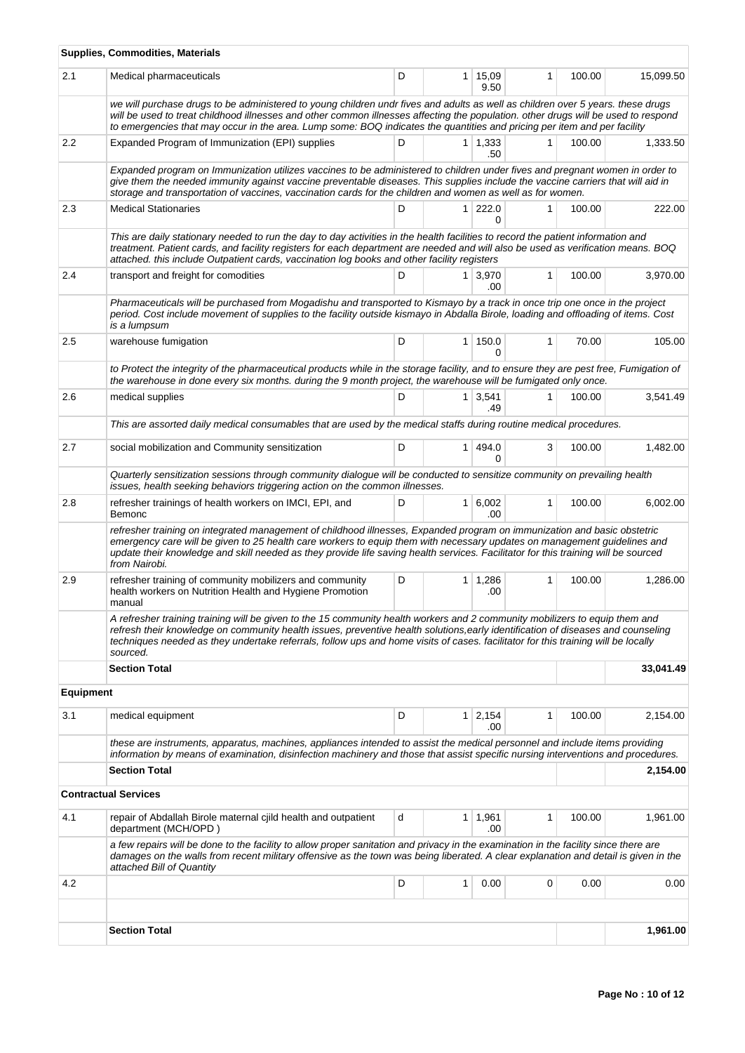|                  | Supplies, Commodities, Materials                                                                                                                                                                                                                                                                                                                                                                                 |   |                |                |              |        |           |  |  |
|------------------|------------------------------------------------------------------------------------------------------------------------------------------------------------------------------------------------------------------------------------------------------------------------------------------------------------------------------------------------------------------------------------------------------------------|---|----------------|----------------|--------------|--------|-----------|--|--|
| 2.1              | Medical pharmaceuticals                                                                                                                                                                                                                                                                                                                                                                                          | D | $\mathbf{1}$   | 15,09<br>9.50  | $\mathbf{1}$ | 100.00 | 15,099.50 |  |  |
|                  | we will purchase drugs to be administered to young children undr fives and adults as well as children over 5 years. these drugs<br>will be used to treat childhood illnesses and other common illnesses affecting the population. other drugs will be used to respond<br>to emergencies that may occur in the area. Lump some: BOQ indicates the quantities and pricing per item and per facility                |   |                |                |              |        |           |  |  |
| 2.2              | Expanded Program of Immunization (EPI) supplies                                                                                                                                                                                                                                                                                                                                                                  | D |                | 1 1,333<br>.50 | 1            | 100.00 | 1,333.50  |  |  |
|                  | Expanded program on Immunization utilizes vaccines to be administered to children under fives and pregnant women in order to<br>give them the needed immunity against vaccine preventable diseases. This supplies include the vaccine carriers that will aid in<br>storage and transportation of vaccines, vaccination cards for the children and women as well as for women.                                    |   |                |                |              |        |           |  |  |
| 2.3              | <b>Medical Stationaries</b>                                                                                                                                                                                                                                                                                                                                                                                      | D | 1 <sup>1</sup> | 222.0<br>0     | 1            | 100.00 | 222.00    |  |  |
|                  | This are daily stationary needed to run the day to day activities in the health facilities to record the patient information and<br>treatment. Patient cards, and facility registers for each department are needed and will also be used as verification means. BOQ<br>attached. this include Outpatient cards, vaccination log books and other facility registers                                              |   |                |                |              |        |           |  |  |
| 2.4              | transport and freight for comodities                                                                                                                                                                                                                                                                                                                                                                             | D |                | 1 3,970<br>.00 | $\mathbf{1}$ | 100.00 | 3,970.00  |  |  |
|                  | Pharmaceuticals will be purchased from Mogadishu and transported to Kismayo by a track in once trip one once in the project<br>period. Cost include movement of supplies to the facility outside kismayo in Abdalla Birole, loading and offloading of items. Cost<br>is a lumpsum                                                                                                                                |   |                |                |              |        |           |  |  |
| 2.5              | warehouse fumigation                                                                                                                                                                                                                                                                                                                                                                                             | D |                | 1 150.0<br>0   | 1            | 70.00  | 105.00    |  |  |
|                  | to Protect the integrity of the pharmaceutical products while in the storage facility, and to ensure they are pest free, Fumigation of<br>the warehouse in done every six months, during the 9 month project, the warehouse will be fumigated only once.                                                                                                                                                         |   |                |                |              |        |           |  |  |
| 2.6              | medical supplies                                                                                                                                                                                                                                                                                                                                                                                                 | D | 1              | 3,541<br>.49   | 1            | 100.00 | 3,541.49  |  |  |
|                  | This are assorted daily medical consumables that are used by the medical staffs during routine medical procedures.                                                                                                                                                                                                                                                                                               |   |                |                |              |        |           |  |  |
| 2.7              | social mobilization and Community sensitization                                                                                                                                                                                                                                                                                                                                                                  | D | $\mathbf{1}$   | 494.0<br>0     | 3            | 100.00 | 1,482.00  |  |  |
|                  | Quarterly sensitization sessions through community dialogue will be conducted to sensitize community on prevailing health<br>issues, health seeking behaviors triggering action on the common illnesses.                                                                                                                                                                                                         |   |                |                |              |        |           |  |  |
| 2.8              | refresher trainings of health workers on IMCI, EPI, and<br>Bemonc                                                                                                                                                                                                                                                                                                                                                | D | 1 <sup>1</sup> | 6,002<br>.00   | $\mathbf{1}$ | 100.00 | 6,002.00  |  |  |
|                  | refresher training on integrated management of childhood illnesses, Expanded program on immunization and basic obstetric<br>emergency care will be given to 25 health care workers to equip them with necessary updates on management guidelines and<br>update their knowledge and skill needed as they provide life saving health services. Facilitator for this training will be sourced<br>from Nairobi.      |   |                |                |              |        |           |  |  |
| 2.9              | refresher training of community mobilizers and community<br>health workers on Nutrition Health and Hygiene Promotion<br>manual                                                                                                                                                                                                                                                                                   | D | 1              | 1,286<br>.00   | 1            | 100.00 | 1,286.00  |  |  |
|                  | A refresher training training will be given to the 15 community health workers and 2 community mobilizers to equip them and<br>refresh their knowledge on community health issues, preventive health solutions, early identification of diseases and counseling<br>techniques needed as they undertake referrals, follow ups and home visits of cases. facilitator for this training will be locally<br>sourced. |   |                |                |              |        |           |  |  |
|                  | <b>Section Total</b>                                                                                                                                                                                                                                                                                                                                                                                             |   |                |                |              |        | 33,041.49 |  |  |
| <b>Equipment</b> |                                                                                                                                                                                                                                                                                                                                                                                                                  |   |                |                |              |        |           |  |  |
| 3.1              | medical equipment                                                                                                                                                                                                                                                                                                                                                                                                | D | 1 <sup>1</sup> | 2,154<br>.00   | 1            | 100.00 | 2,154.00  |  |  |
|                  | these are instruments, apparatus, machines, appliances intended to assist the medical personnel and include items providing<br>information by means of examination, disinfection machinery and those that assist specific nursing interventions and procedures.                                                                                                                                                  |   |                |                |              |        |           |  |  |
|                  | <b>Section Total</b>                                                                                                                                                                                                                                                                                                                                                                                             |   |                |                |              |        | 2,154.00  |  |  |
|                  | <b>Contractual Services</b>                                                                                                                                                                                                                                                                                                                                                                                      |   |                |                |              |        |           |  |  |
| 4.1              | repair of Abdallah Birole maternal cjild health and outpatient<br>department (MCH/OPD)                                                                                                                                                                                                                                                                                                                           | d | 1              | 1,961<br>.00   | 1            | 100.00 | 1,961.00  |  |  |
|                  | a few repairs will be done to the facility to allow proper sanitation and privacy in the examination in the facility since there are<br>damages on the walls from recent military offensive as the town was being liberated. A clear explanation and detail is given in the<br>attached Bill of Quantity                                                                                                         |   |                |                |              |        |           |  |  |
| 4.2              |                                                                                                                                                                                                                                                                                                                                                                                                                  | D | 1              | 0.00           | 0            | 0.00   | 0.00      |  |  |
|                  |                                                                                                                                                                                                                                                                                                                                                                                                                  |   |                |                |              |        |           |  |  |
|                  | <b>Section Total</b>                                                                                                                                                                                                                                                                                                                                                                                             |   |                |                |              |        | 1,961.00  |  |  |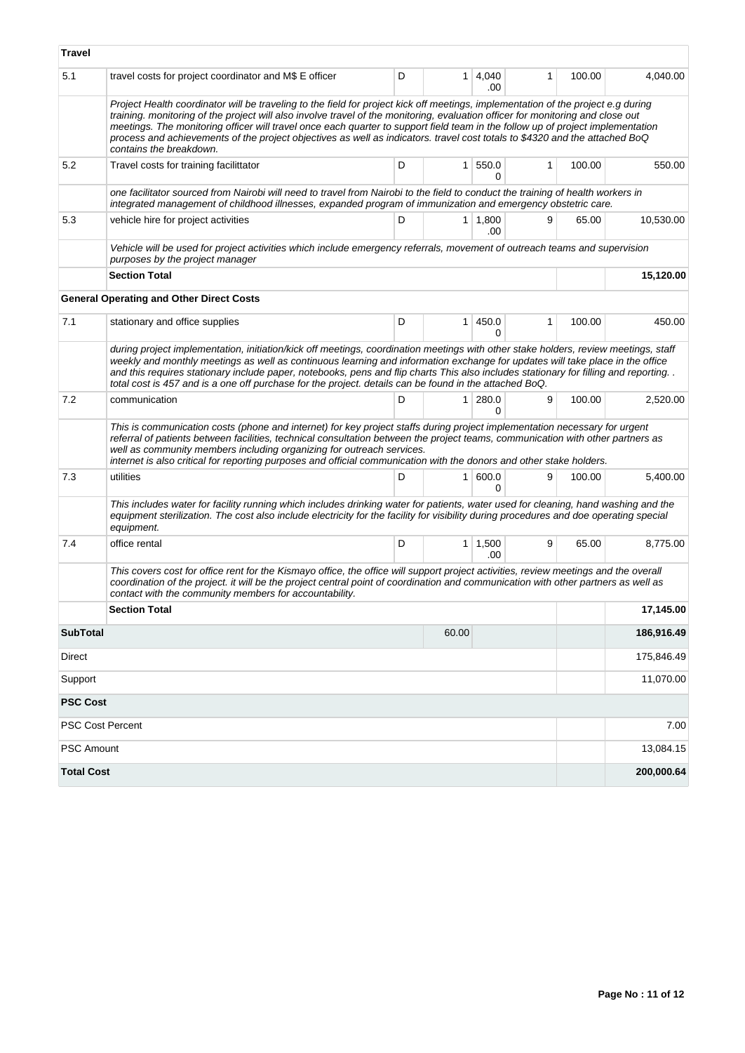| Travel            |                                                                                                                                                                                                                                                                                                                                                                                                                                                                                                                                                                   |   |                |                       |              |        |            |
|-------------------|-------------------------------------------------------------------------------------------------------------------------------------------------------------------------------------------------------------------------------------------------------------------------------------------------------------------------------------------------------------------------------------------------------------------------------------------------------------------------------------------------------------------------------------------------------------------|---|----------------|-----------------------|--------------|--------|------------|
| 5.1               | travel costs for project coordinator and M\$ E officer                                                                                                                                                                                                                                                                                                                                                                                                                                                                                                            | D |                | $1 \mid 4,040$<br>.00 | 1            | 100.00 | 4,040.00   |
|                   | Project Health coordinator will be traveling to the field for project kick off meetings, implementation of the project e.g during<br>training. monitoring of the project will also involve travel of the monitoring, evaluation officer for monitoring and close out<br>meetings. The monitoring officer will travel once each quarter to support field team in the follow up of project implementation<br>process and achievements of the project objectives as well as indicators. travel cost totals to \$4320 and the attached BoQ<br>contains the breakdown. |   |                |                       |              |        |            |
| 5.2               | Travel costs for training facilittator                                                                                                                                                                                                                                                                                                                                                                                                                                                                                                                            | D | 1 <sup>1</sup> | 550.0<br>0            | $\mathbf{1}$ | 100.00 | 550.00     |
|                   | one facilitator sourced from Nairobi will need to travel from Nairobi to the field to conduct the training of health workers in<br>integrated management of childhood illnesses, expanded program of immunization and emergency obstetric care.                                                                                                                                                                                                                                                                                                                   |   |                |                       |              |        |            |
| 5.3               | vehicle hire for project activities                                                                                                                                                                                                                                                                                                                                                                                                                                                                                                                               | D |                | 1 1.800<br>.00        | 9            | 65.00  | 10,530.00  |
|                   | Vehicle will be used for project activities which include emergency referrals, movement of outreach teams and supervision<br>purposes by the project manager                                                                                                                                                                                                                                                                                                                                                                                                      |   |                |                       |              |        |            |
|                   | <b>Section Total</b>                                                                                                                                                                                                                                                                                                                                                                                                                                                                                                                                              |   |                |                       |              |        | 15,120.00  |
|                   | <b>General Operating and Other Direct Costs</b>                                                                                                                                                                                                                                                                                                                                                                                                                                                                                                                   |   |                |                       |              |        |            |
| 7.1               | stationary and office supplies                                                                                                                                                                                                                                                                                                                                                                                                                                                                                                                                    | D | 1 <sup>1</sup> | 450.0<br>0            | 1            | 100.00 | 450.00     |
|                   | during project implementation, initiation/kick off meetings, coordination meetings with other stake holders, review meetings, staff<br>weekly and monthly meetings as well as continuous learning and information exchange for updates will take place in the office<br>and this requires stationary include paper, notebooks, pens and flip charts This also includes stationary for filling and reporting<br>total cost is 457 and is a one off purchase for the project. details can be found in the attached BoQ.                                             |   |                |                       |              |        |            |
| 7.2               | communication                                                                                                                                                                                                                                                                                                                                                                                                                                                                                                                                                     | D | 1 <sup>1</sup> | 280.0<br>0            | 9            | 100.00 | 2,520.00   |
|                   | This is communication costs (phone and internet) for key project staffs during project implementation necessary for urgent<br>referral of patients between facilities, technical consultation between the project teams, communication with other partners as<br>well as community members including organizing for outreach services.<br>internet is also critical for reporting purposes and official communication with the donors and other stake holders.                                                                                                    |   |                |                       |              |        |            |
| 7.3               | utilities                                                                                                                                                                                                                                                                                                                                                                                                                                                                                                                                                         | D | 1 <sup>1</sup> | 600.0<br>0            | 9            | 100.00 | 5,400.00   |
|                   | This includes water for facility running which includes drinking water for patients, water used for cleaning, hand washing and the<br>equipment sterilization. The cost also include electricity for the facility for visibility during procedures and doe operating special<br>equipment.                                                                                                                                                                                                                                                                        |   |                |                       |              |        |            |
| 7.4               | office rental                                                                                                                                                                                                                                                                                                                                                                                                                                                                                                                                                     | D |                | $1 \mid 1,500$<br>.00 | 9            | 65.00  | 8,775.00   |
|                   | This covers cost for office rent for the Kismayo office, the office will support project activities, review meetings and the overall<br>coordination of the project. it will be the project central point of coordination and communication with other partners as well as<br>contact with the community members for accountability.                                                                                                                                                                                                                              |   |                |                       |              |        |            |
|                   | <b>Section Total</b>                                                                                                                                                                                                                                                                                                                                                                                                                                                                                                                                              |   |                |                       |              |        | 17,145.00  |
| <b>SubTotal</b>   |                                                                                                                                                                                                                                                                                                                                                                                                                                                                                                                                                                   |   | 60.00          |                       |              |        | 186,916.49 |
| Direct            |                                                                                                                                                                                                                                                                                                                                                                                                                                                                                                                                                                   |   |                |                       |              |        | 175,846.49 |
| Support           |                                                                                                                                                                                                                                                                                                                                                                                                                                                                                                                                                                   |   |                |                       |              |        | 11,070.00  |
| <b>PSC Cost</b>   |                                                                                                                                                                                                                                                                                                                                                                                                                                                                                                                                                                   |   |                |                       |              |        |            |
| PSC Cost Percent  |                                                                                                                                                                                                                                                                                                                                                                                                                                                                                                                                                                   |   |                |                       |              |        | 7.00       |
| <b>PSC Amount</b> |                                                                                                                                                                                                                                                                                                                                                                                                                                                                                                                                                                   |   |                |                       |              |        | 13,084.15  |
| <b>Total Cost</b> |                                                                                                                                                                                                                                                                                                                                                                                                                                                                                                                                                                   |   |                |                       |              |        | 200,000.64 |